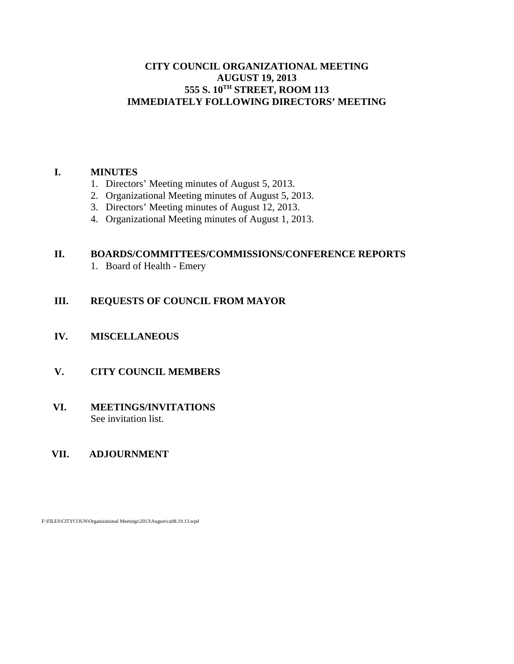#### **CITY COUNCIL ORGANIZATIONAL MEETING AUGUST 19, 2013 555 S. 10TH STREET, ROOM 113 IMMEDIATELY FOLLOWING DIRECTORS' MEETING**

#### **I. MINUTES**

- 1. Directors' Meeting minutes of August 5, 2013.
- 2. Organizational Meeting minutes of August 5, 2013.
- 3. Directors' Meeting minutes of August 12, 2013.
- 4. Organizational Meeting minutes of August 1, 2013.

# **II. BOARDS/COMMITTEES/COMMISSIONS/CONFERENCE REPORTS**

1. Board of Health - Emery

# **III. REQUESTS OF COUNCIL FROM MAYOR**

- **IV. MISCELLANEOUS**
- **V. CITY COUNCIL MEMBERS**

#### **VI. MEETINGS/INVITATIONS** See invitation list.

## **VII. ADJOURNMENT**

F:\FILES\CITYCOUN\Organizational Meetings\2013\August\ca08.19.13.wpd